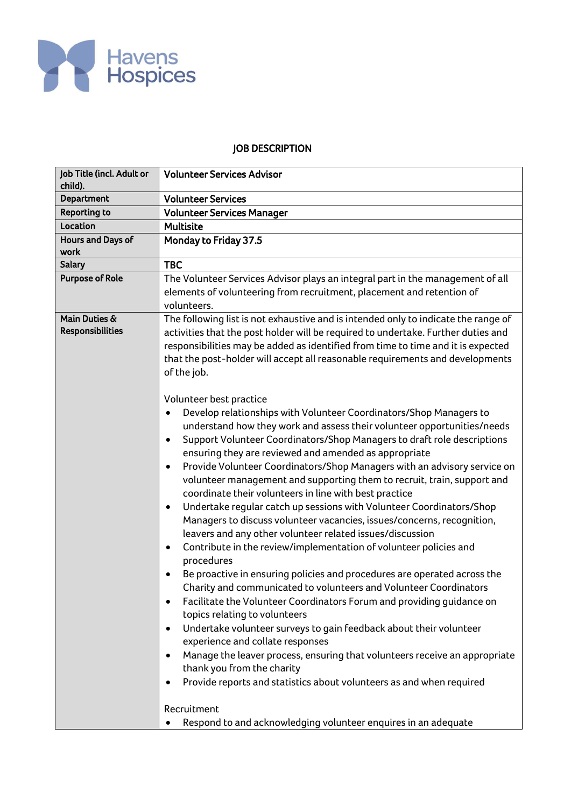

## JOB DESCRIPTION

| Job Title (incl. Adult or<br>child).     | <b>Volunteer Services Advisor</b>                                                                                                                                                                                                                                                                                                                                                                                                                                                                                                                                                                                                                                                                                                                                                                                                                                                                                                                                                                                                                                                                                                                                                                                                                                                                                                                                                                                                                                                                                                          |  |  |  |  |  |
|------------------------------------------|--------------------------------------------------------------------------------------------------------------------------------------------------------------------------------------------------------------------------------------------------------------------------------------------------------------------------------------------------------------------------------------------------------------------------------------------------------------------------------------------------------------------------------------------------------------------------------------------------------------------------------------------------------------------------------------------------------------------------------------------------------------------------------------------------------------------------------------------------------------------------------------------------------------------------------------------------------------------------------------------------------------------------------------------------------------------------------------------------------------------------------------------------------------------------------------------------------------------------------------------------------------------------------------------------------------------------------------------------------------------------------------------------------------------------------------------------------------------------------------------------------------------------------------------|--|--|--|--|--|
| Department                               | <b>Volunteer Services</b>                                                                                                                                                                                                                                                                                                                                                                                                                                                                                                                                                                                                                                                                                                                                                                                                                                                                                                                                                                                                                                                                                                                                                                                                                                                                                                                                                                                                                                                                                                                  |  |  |  |  |  |
| <b>Reporting to</b>                      | <b>Volunteer Services Manager</b>                                                                                                                                                                                                                                                                                                                                                                                                                                                                                                                                                                                                                                                                                                                                                                                                                                                                                                                                                                                                                                                                                                                                                                                                                                                                                                                                                                                                                                                                                                          |  |  |  |  |  |
| Location                                 | <b>Multisite</b>                                                                                                                                                                                                                                                                                                                                                                                                                                                                                                                                                                                                                                                                                                                                                                                                                                                                                                                                                                                                                                                                                                                                                                                                                                                                                                                                                                                                                                                                                                                           |  |  |  |  |  |
| Hours and Days of<br>work                | Monday to Friday 37.5                                                                                                                                                                                                                                                                                                                                                                                                                                                                                                                                                                                                                                                                                                                                                                                                                                                                                                                                                                                                                                                                                                                                                                                                                                                                                                                                                                                                                                                                                                                      |  |  |  |  |  |
| <b>Salary</b>                            | <b>TBC</b>                                                                                                                                                                                                                                                                                                                                                                                                                                                                                                                                                                                                                                                                                                                                                                                                                                                                                                                                                                                                                                                                                                                                                                                                                                                                                                                                                                                                                                                                                                                                 |  |  |  |  |  |
| <b>Purpose of Role</b>                   | The Volunteer Services Advisor plays an integral part in the management of all<br>elements of volunteering from recruitment, placement and retention of<br>volunteers.                                                                                                                                                                                                                                                                                                                                                                                                                                                                                                                                                                                                                                                                                                                                                                                                                                                                                                                                                                                                                                                                                                                                                                                                                                                                                                                                                                     |  |  |  |  |  |
| Main Duties &<br><b>Responsibilities</b> | The following list is not exhaustive and is intended only to indicate the range of<br>activities that the post holder will be required to undertake. Further duties and<br>responsibilities may be added as identified from time to time and it is expected<br>that the post-holder will accept all reasonable requirements and developments<br>of the job.                                                                                                                                                                                                                                                                                                                                                                                                                                                                                                                                                                                                                                                                                                                                                                                                                                                                                                                                                                                                                                                                                                                                                                                |  |  |  |  |  |
|                                          | Volunteer best practice<br>Develop relationships with Volunteer Coordinators/Shop Managers to<br>understand how they work and assess their volunteer opportunities/needs<br>Support Volunteer Coordinators/Shop Managers to draft role descriptions<br>$\bullet$<br>ensuring they are reviewed and amended as appropriate<br>Provide Volunteer Coordinators/Shop Managers with an advisory service on<br>$\bullet$<br>volunteer management and supporting them to recruit, train, support and<br>coordinate their volunteers in line with best practice<br>Undertake regular catch up sessions with Volunteer Coordinators/Shop<br>$\bullet$<br>Managers to discuss volunteer vacancies, issues/concerns, recognition,<br>leavers and any other volunteer related issues/discussion<br>Contribute in the review/implementation of volunteer policies and<br>$\bullet$<br>procedures<br>Be proactive in ensuring policies and procedures are operated across the<br>Charity and communicated to volunteers and Volunteer Coordinators<br>Facilitate the Volunteer Coordinators Forum and providing guidance on<br>topics relating to volunteers<br>Undertake volunteer surveys to gain feedback about their volunteer<br>$\bullet$<br>experience and collate responses<br>Manage the leaver process, ensuring that volunteers receive an appropriate<br>thank you from the charity<br>Provide reports and statistics about volunteers as and when required<br>Recruitment<br>Respond to and acknowledging volunteer enquires in an adequate |  |  |  |  |  |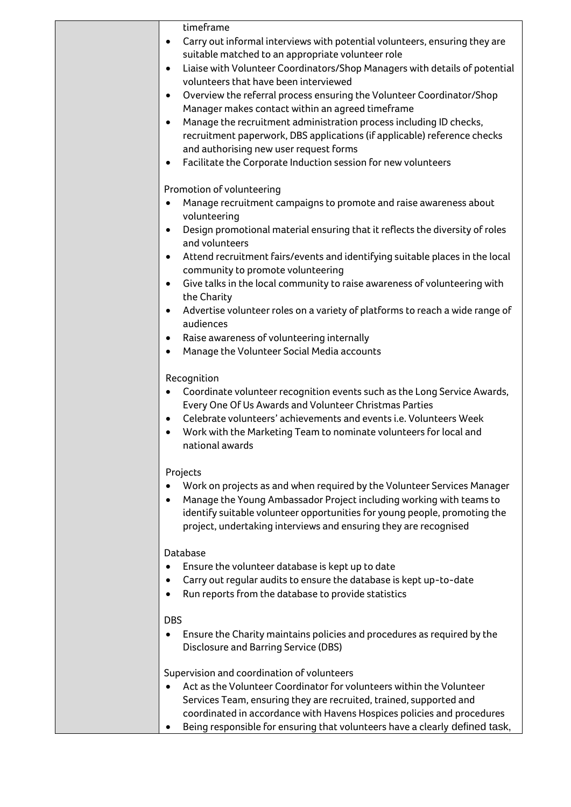| timeframe                                                                                                                   |
|-----------------------------------------------------------------------------------------------------------------------------|
| Carry out informal interviews with potential volunteers, ensuring they are<br>$\bullet$                                     |
| suitable matched to an appropriate volunteer role                                                                           |
| Liaise with Volunteer Coordinators/Shop Managers with details of potential<br>$\bullet$                                     |
| volunteers that have been interviewed                                                                                       |
| Overview the referral process ensuring the Volunteer Coordinator/Shop<br>$\bullet$                                          |
| Manager makes contact within an agreed timeframe                                                                            |
| Manage the recruitment administration process including ID checks,<br>$\bullet$                                             |
| recruitment paperwork, DBS applications (if applicable) reference checks                                                    |
| and authorising new user request forms<br>Facilitate the Corporate Induction session for new volunteers<br>٠                |
|                                                                                                                             |
| Promotion of volunteering                                                                                                   |
| Manage recruitment campaigns to promote and raise awareness about<br>$\bullet$                                              |
| volunteering                                                                                                                |
| Design promotional material ensuring that it reflects the diversity of roles<br>$\bullet$                                   |
| and volunteers                                                                                                              |
| Attend recruitment fairs/events and identifying suitable places in the local<br>$\bullet$                                   |
| community to promote volunteering                                                                                           |
| Give talks in the local community to raise awareness of volunteering with<br>$\bullet$<br>the Charity                       |
| Advertise volunteer roles on a variety of platforms to reach a wide range of<br>$\bullet$                                   |
| audiences                                                                                                                   |
| Raise awareness of volunteering internally<br>٠                                                                             |
| Manage the Volunteer Social Media accounts<br>٠                                                                             |
|                                                                                                                             |
| Recognition                                                                                                                 |
| Coordinate volunteer recognition events such as the Long Service Awards,                                                    |
| Every One Of Us Awards and Volunteer Christmas Parties                                                                      |
| Celebrate volunteers' achievements and events i.e. Volunteers Week<br>$\bullet$                                             |
| Work with the Marketing Team to nominate volunteers for local and<br>national awards                                        |
|                                                                                                                             |
| Projects                                                                                                                    |
| Work on projects as and when required by the Volunteer Services Manager                                                     |
| Manage the Young Ambassador Project including working with teams to                                                         |
| identify suitable volunteer opportunities for young people, promoting the                                                   |
| project, undertaking interviews and ensuring they are recognised                                                            |
| Database                                                                                                                    |
| Ensure the volunteer database is kept up to date                                                                            |
| Carry out regular audits to ensure the database is kept up-to-date                                                          |
| Run reports from the database to provide statistics                                                                         |
|                                                                                                                             |
| <b>DBS</b>                                                                                                                  |
| Ensure the Charity maintains policies and procedures as required by the<br>٠<br><b>Disclosure and Barring Service (DBS)</b> |
|                                                                                                                             |
| Supervision and coordination of volunteers                                                                                  |
| Act as the Volunteer Coordinator for volunteers within the Volunteer                                                        |
| Services Team, ensuring they are recruited, trained, supported and                                                          |
| coordinated in accordance with Havens Hospices policies and procedures                                                      |
| Being responsible for ensuring that volunteers have a clearly defined task,                                                 |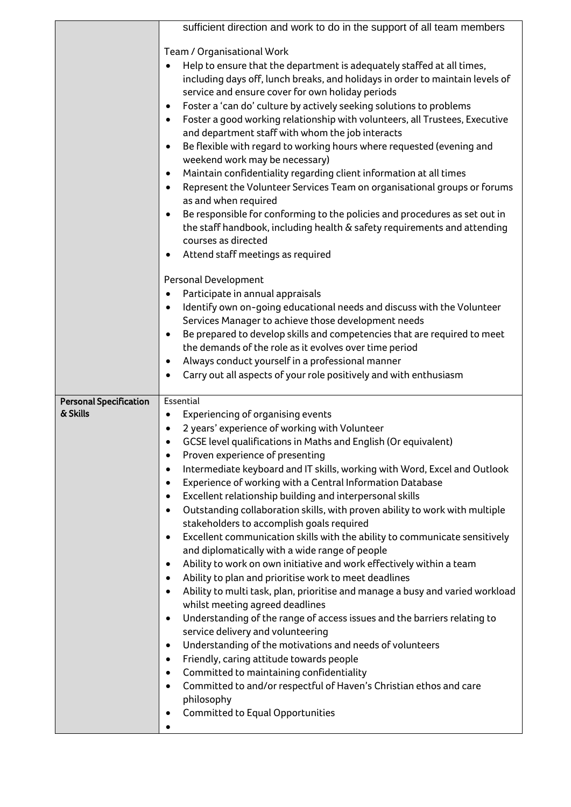|                                           | sufficient direction and work to do in the support of all team members                                                                                                                                                   |  |  |  |  |  |  |
|-------------------------------------------|--------------------------------------------------------------------------------------------------------------------------------------------------------------------------------------------------------------------------|--|--|--|--|--|--|
|                                           |                                                                                                                                                                                                                          |  |  |  |  |  |  |
|                                           | Team / Organisational Work                                                                                                                                                                                               |  |  |  |  |  |  |
|                                           | Help to ensure that the department is adequately staffed at all times,<br>$\bullet$<br>including days off, lunch breaks, and holidays in order to maintain levels of<br>service and ensure cover for own holiday periods |  |  |  |  |  |  |
|                                           | Foster a 'can do' culture by actively seeking solutions to problems<br>$\bullet$                                                                                                                                         |  |  |  |  |  |  |
|                                           | Foster a good working relationship with volunteers, all Trustees, Executive<br>$\bullet$                                                                                                                                 |  |  |  |  |  |  |
|                                           | and department staff with whom the job interacts                                                                                                                                                                         |  |  |  |  |  |  |
|                                           | Be flexible with regard to working hours where requested (evening and<br>$\bullet$<br>weekend work may be necessary)                                                                                                     |  |  |  |  |  |  |
|                                           | Maintain confidentiality regarding client information at all times<br>$\bullet$                                                                                                                                          |  |  |  |  |  |  |
|                                           | Represent the Volunteer Services Team on organisational groups or forums<br>$\bullet$<br>as and when required                                                                                                            |  |  |  |  |  |  |
|                                           | Be responsible for conforming to the policies and procedures as set out in<br>$\bullet$                                                                                                                                  |  |  |  |  |  |  |
|                                           | the staff handbook, including health & safety requirements and attending                                                                                                                                                 |  |  |  |  |  |  |
|                                           | courses as directed                                                                                                                                                                                                      |  |  |  |  |  |  |
|                                           | Attend staff meetings as required<br>$\bullet$                                                                                                                                                                           |  |  |  |  |  |  |
|                                           | Personal Development                                                                                                                                                                                                     |  |  |  |  |  |  |
|                                           | Participate in annual appraisals<br>$\bullet$                                                                                                                                                                            |  |  |  |  |  |  |
|                                           | Identify own on-going educational needs and discuss with the Volunteer<br>$\bullet$                                                                                                                                      |  |  |  |  |  |  |
|                                           | Services Manager to achieve those development needs                                                                                                                                                                      |  |  |  |  |  |  |
|                                           | Be prepared to develop skills and competencies that are required to meet<br>$\bullet$                                                                                                                                    |  |  |  |  |  |  |
|                                           | the demands of the role as it evolves over time period                                                                                                                                                                   |  |  |  |  |  |  |
|                                           | Always conduct yourself in a professional manner<br>$\bullet$                                                                                                                                                            |  |  |  |  |  |  |
|                                           | Carry out all aspects of your role positively and with enthusiasm<br>$\bullet$                                                                                                                                           |  |  |  |  |  |  |
|                                           |                                                                                                                                                                                                                          |  |  |  |  |  |  |
|                                           |                                                                                                                                                                                                                          |  |  |  |  |  |  |
| <b>Personal Specification</b><br>& Skills | Essential                                                                                                                                                                                                                |  |  |  |  |  |  |
|                                           | Experiencing of organising events<br>$\bullet$                                                                                                                                                                           |  |  |  |  |  |  |
|                                           | 2 years' experience of working with Volunteer                                                                                                                                                                            |  |  |  |  |  |  |
|                                           | GCSE level qualifications in Maths and English (Or equivalent)<br>$\bullet$                                                                                                                                              |  |  |  |  |  |  |
|                                           | Proven experience of presenting<br>Intermediate keyboard and IT skills, working with Word, Excel and Outlook<br>$\bullet$                                                                                                |  |  |  |  |  |  |
|                                           | Experience of working with a Central Information Database<br>$\bullet$                                                                                                                                                   |  |  |  |  |  |  |
|                                           | Excellent relationship building and interpersonal skills<br>$\bullet$                                                                                                                                                    |  |  |  |  |  |  |
|                                           | Outstanding collaboration skills, with proven ability to work with multiple<br>$\bullet$                                                                                                                                 |  |  |  |  |  |  |
|                                           | stakeholders to accomplish goals required                                                                                                                                                                                |  |  |  |  |  |  |
|                                           | Excellent communication skills with the ability to communicate sensitively<br>$\bullet$                                                                                                                                  |  |  |  |  |  |  |
|                                           | and diplomatically with a wide range of people                                                                                                                                                                           |  |  |  |  |  |  |
|                                           | Ability to work on own initiative and work effectively within a team<br>٠                                                                                                                                                |  |  |  |  |  |  |
|                                           | Ability to plan and prioritise work to meet deadlines<br>$\bullet$                                                                                                                                                       |  |  |  |  |  |  |
|                                           | Ability to multi task, plan, prioritise and manage a busy and varied workload<br>$\bullet$                                                                                                                               |  |  |  |  |  |  |
|                                           | whilst meeting agreed deadlines<br>Understanding of the range of access issues and the barriers relating to<br>$\bullet$                                                                                                 |  |  |  |  |  |  |
|                                           | service delivery and volunteering                                                                                                                                                                                        |  |  |  |  |  |  |
|                                           | Understanding of the motivations and needs of volunteers<br>$\bullet$                                                                                                                                                    |  |  |  |  |  |  |
|                                           | Friendly, caring attitude towards people<br>$\bullet$                                                                                                                                                                    |  |  |  |  |  |  |
|                                           | Committed to maintaining confidentiality<br>$\bullet$                                                                                                                                                                    |  |  |  |  |  |  |
|                                           | Committed to and/or respectful of Haven's Christian ethos and care<br>$\bullet$                                                                                                                                          |  |  |  |  |  |  |
|                                           | philosophy                                                                                                                                                                                                               |  |  |  |  |  |  |
|                                           | <b>Committed to Equal Opportunities</b><br>٠                                                                                                                                                                             |  |  |  |  |  |  |